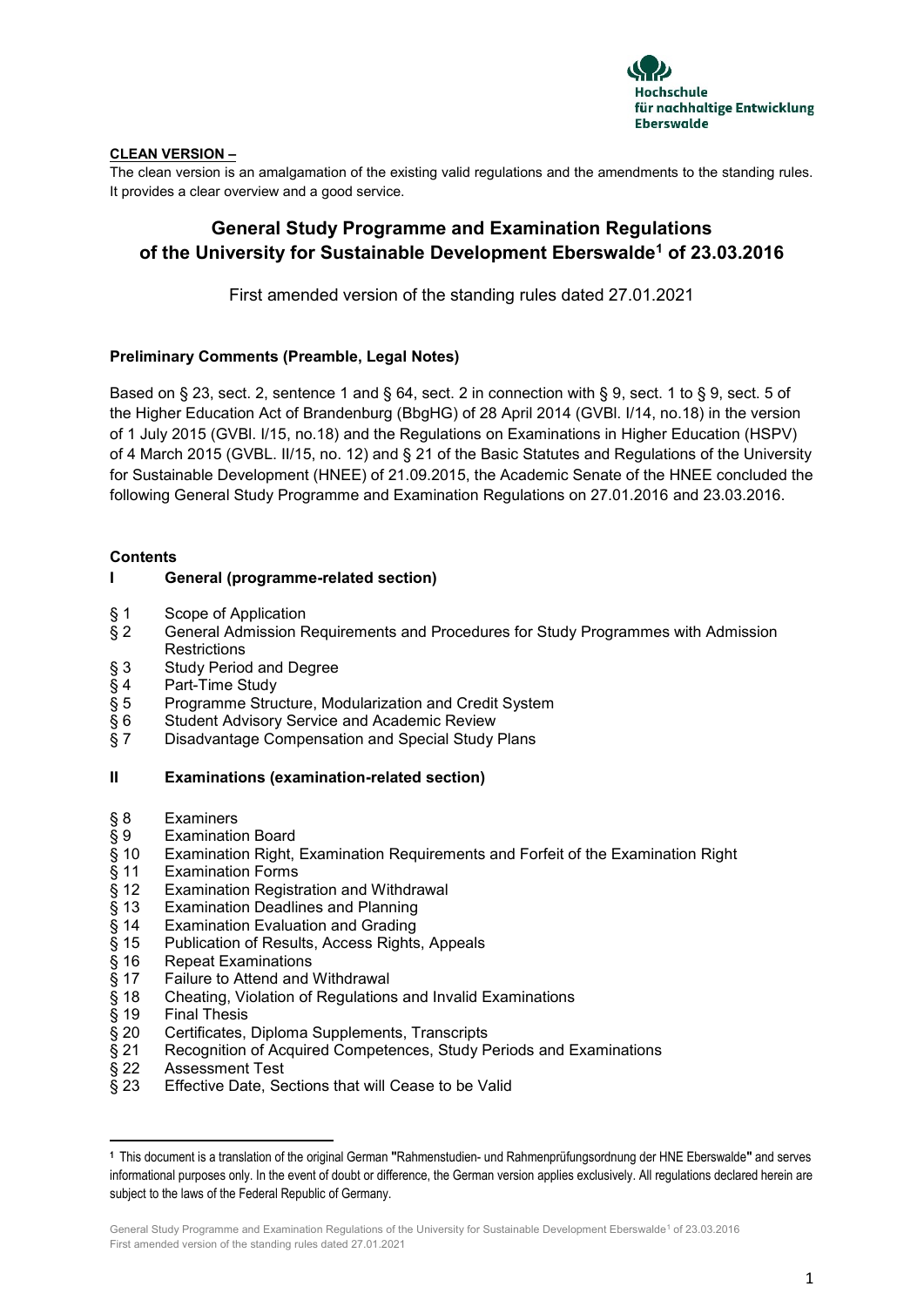

## **CLEAN VERSION –**

The clean version is an amalgamation of the existing valid regulations and the amendments to the standing rules. It provides a clear overview and a good service.

# **General Study Programme and Examination Regulations of the University for Sustainable Development Eberswalde<sup>1</sup> of 23.03.2016**

First amended version of the standing rules dated 27.01.2021

## **Preliminary Comments (Preamble, Legal Notes)**

Based on § 23, sect. 2, sentence 1 and § 64, sect. 2 in connection with § 9, sect. 1 to § 9, sect. 5 of the Higher Education Act of Brandenburg (BbgHG) of 28 April 2014 (GVBl. I/14, no.18) in the version of 1 July 2015 (GVBl. I/15, no.18) and the Regulations on Examinations in Higher Education (HSPV) of 4 March 2015 (GVBL. II/15, no. 12) and § 21 of the Basic Statutes and Regulations of the University for Sustainable Development (HNEE) of 21.09.2015, the Academic Senate of the HNEE concluded the following General Study Programme and Examination Regulations on 27.01.2016 and 23.03.2016.

#### **Contents**

## **I General (programme-related section)**

- 
- § 1 Scope of Application<br>§ 2 General Admission R § 2 General Admission Requirements and Procedures for Study Programmes with Admission **Restrictions**
- § 3 Study Period and Degree<br>§ 4 Part-Time Study
- Part-Time Study
- § 5 Programme Structure, Modularization and Credit System<br>§ 6 Student Advisory Service and Academic Review
- § 6 Student Advisory Service and Academic Review<br>§ 7 Disadvantage Compensation and Special Study
- Disadvantage Compensation and Special Study Plans

## **II Examinations (examination-related section)**

- § 8 Examiners<br>§ 9 Examinatio<br>§ 10 Examinatio
- Examination Board
- Examination Right, Examination Requirements and Forfeit of the Examination Right
- § 11 Examination Forms
- § 12 Examination Registration and Withdrawal<br>§ 13 Examination Deadlines and Planning
- Examination Deadlines and Planning
- § 14 Examination Evaluation and Grading<br>§ 15 Publication of Results, Access Rights
- § 15 Publication of Results, Access Rights, Appeals<br>§ 16 Repeat Examinations
- § 16 Repeat Examinations
- 
- § 17 Failure to Attend and Withdrawal<br>§ 18 Cheating, Violation of Regulations<br>§ 19 Final Thesis § 18 Cheating, Violation of Regulations and Invalid Examinations
- **Final Thesis**

**.** 

- § 20 Certificates, Diploma Supplements, Transcripts
- § 21 Recognition of Acquired Competences, Study Periods and Examinations<br>§ 22 Assessment Test
- § 22 Assessment Test
- § 23 Effective Date, Sections that will Cease to be Valid

**<sup>1</sup>** This document is a translation of the original German **"**Rahmenstudien- und Rahmenprüfungsordnung der HNE Eberswalde**"** and serves informational purposes only. In the event of doubt or difference, the German version applies exclusively. All regulations declared herein are subject to the laws of the Federal Republic of Germany.

General Study Programme and Examination Regulations of the University for Sustainable Development Eberswalde<sup>1</sup> of 23.03.2016 First amended version of the standing rules dated 27.01.2021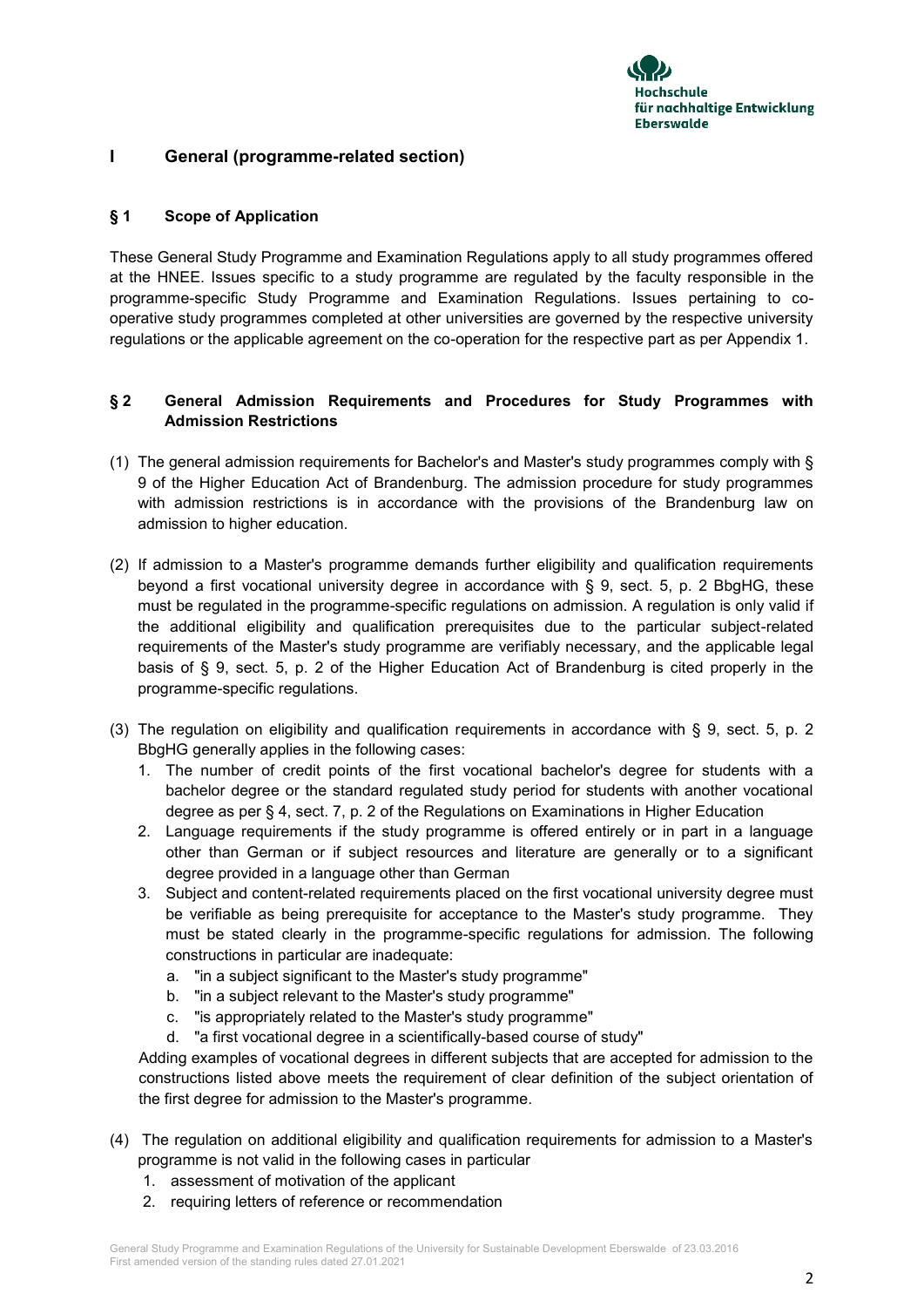

# **I General (programme-related section)**

## **§ 1 Scope of Application**

These General Study Programme and Examination Regulations apply to all study programmes offered at the HNEE. Issues specific to a study programme are regulated by the faculty responsible in the programme-specific Study Programme and Examination Regulations. Issues pertaining to cooperative study programmes completed at other universities are governed by the respective university regulations or the applicable agreement on the co-operation for the respective part as per Appendix 1.

# **§ 2 General Admission Requirements and Procedures for Study Programmes with Admission Restrictions**

- (1) The general admission requirements for Bachelor's and Master's study programmes comply with § 9 of the Higher Education Act of Brandenburg. The admission procedure for study programmes with admission restrictions is in accordance with the provisions of the Brandenburg law on admission to higher education.
- (2) If admission to a Master's programme demands further eligibility and qualification requirements beyond a first vocational university degree in accordance with § 9, sect. 5, p. 2 BbgHG, these must be regulated in the programme-specific regulations on admission. A regulation is only valid if the additional eligibility and qualification prerequisites due to the particular subject-related requirements of the Master's study programme are verifiably necessary, and the applicable legal basis of § 9, sect. 5, p. 2 of the Higher Education Act of Brandenburg is cited properly in the programme-specific regulations.
- (3) The regulation on eligibility and qualification requirements in accordance with § 9, sect. 5, p. 2 BbgHG generally applies in the following cases:
	- 1. The number of credit points of the first vocational bachelor's degree for students with a bachelor degree or the standard regulated study period for students with another vocational degree as per § 4, sect. 7, p. 2 of the Regulations on Examinations in Higher Education
	- 2. Language requirements if the study programme is offered entirely or in part in a language other than German or if subject resources and literature are generally or to a significant degree provided in a language other than German
	- 3. Subject and content-related requirements placed on the first vocational university degree must be verifiable as being prerequisite for acceptance to the Master's study programme. They must be stated clearly in the programme-specific regulations for admission. The following constructions in particular are inadequate:
		- a. "in a subject significant to the Master's study programme"
		- b. "in a subject relevant to the Master's study programme"
		- c. "is appropriately related to the Master's study programme"
		- d. "a first vocational degree in a scientifically-based course of study"

Adding examples of vocational degrees in different subjects that are accepted for admission to the constructions listed above meets the requirement of clear definition of the subject orientation of the first degree for admission to the Master's programme.

- (4) The regulation on additional eligibility and qualification requirements for admission to a Master's programme is not valid in the following cases in particular
	- 1. assessment of motivation of the applicant
	- 2. requiring letters of reference or recommendation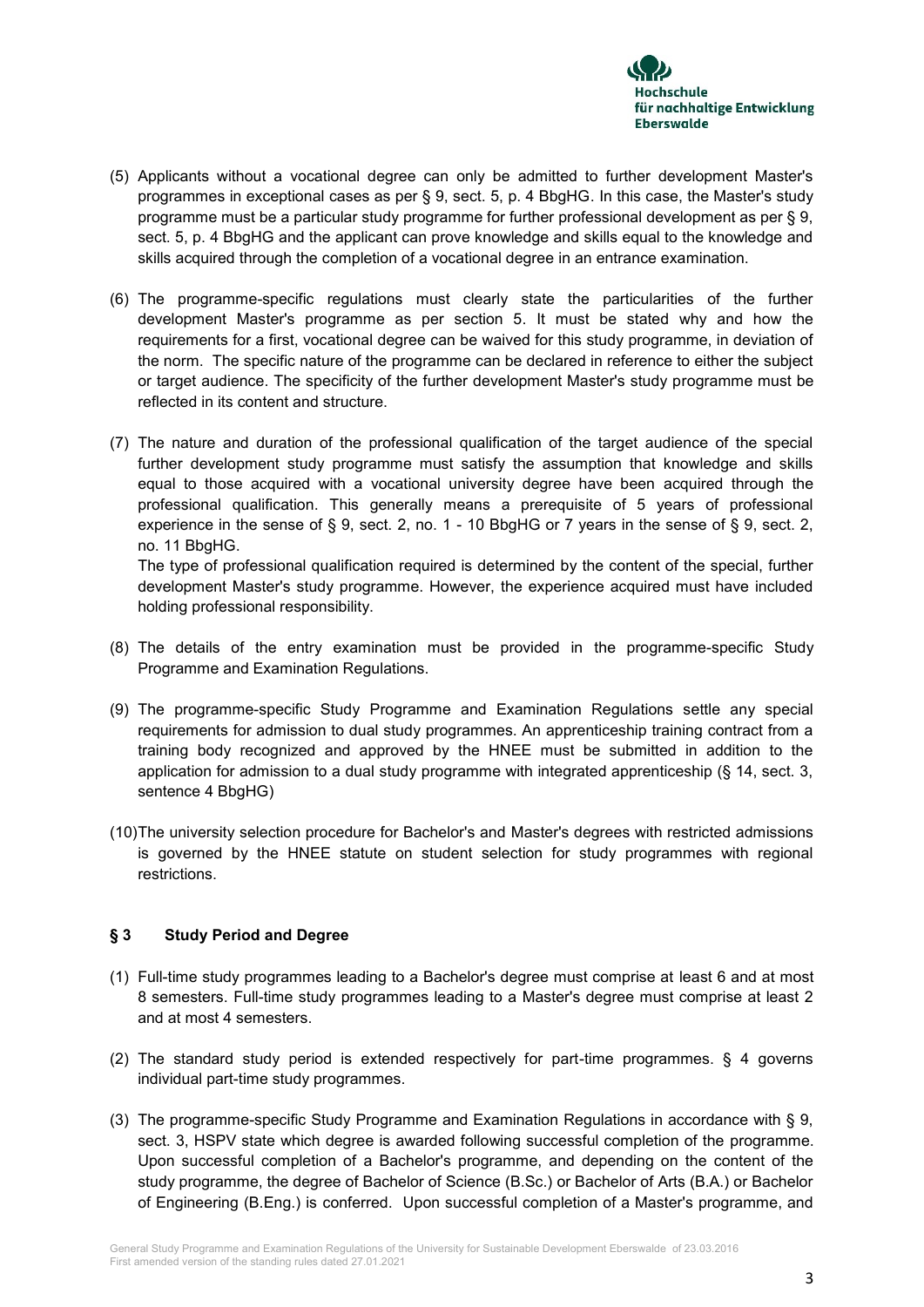

- (5) Applicants without a vocational degree can only be admitted to further development Master's programmes in exceptional cases as per § 9, sect. 5, p. 4 BbgHG. In this case, the Master's study programme must be a particular study programme for further professional development as per § 9, sect. 5, p. 4 BbgHG and the applicant can prove knowledge and skills equal to the knowledge and skills acquired through the completion of a vocational degree in an entrance examination.
- (6) The programme-specific regulations must clearly state the particularities of the further development Master's programme as per section 5. It must be stated why and how the requirements for a first, vocational degree can be waived for this study programme, in deviation of the norm. The specific nature of the programme can be declared in reference to either the subject or target audience. The specificity of the further development Master's study programme must be reflected in its content and structure.
- (7) The nature and duration of the professional qualification of the target audience of the special further development study programme must satisfy the assumption that knowledge and skills equal to those acquired with a vocational university degree have been acquired through the professional qualification. This generally means a prerequisite of 5 years of professional experience in the sense of § 9, sect. 2, no. 1 - 10 BbgHG or 7 years in the sense of § 9, sect. 2, no. 11 BbgHG.

The type of professional qualification required is determined by the content of the special, further development Master's study programme. However, the experience acquired must have included holding professional responsibility.

- (8) The details of the entry examination must be provided in the programme-specific Study Programme and Examination Regulations.
- (9) The programme-specific Study Programme and Examination Regulations settle any special requirements for admission to dual study programmes. An apprenticeship training contract from a training body recognized and approved by the HNEE must be submitted in addition to the application for admission to a dual study programme with integrated apprenticeship (§ 14, sect. 3, sentence 4 BbgHG)
- (10)The university selection procedure for Bachelor's and Master's degrees with restricted admissions is governed by the HNEE statute on student selection for study programmes with regional restrictions.

# **§ 3 Study Period and Degree**

- (1) Full-time study programmes leading to a Bachelor's degree must comprise at least 6 and at most 8 semesters. Full-time study programmes leading to a Master's degree must comprise at least 2 and at most 4 semesters.
- (2) The standard study period is extended respectively for part-time programmes. § 4 governs individual part-time study programmes.
- (3) The programme-specific Study Programme and Examination Regulations in accordance with § 9, sect. 3, HSPV state which degree is awarded following successful completion of the programme. Upon successful completion of a Bachelor's programme, and depending on the content of the study programme, the degree of Bachelor of Science (B.Sc.) or Bachelor of Arts (B.A.) or Bachelor of Engineering (B.Eng.) is conferred. Upon successful completion of a Master's programme, and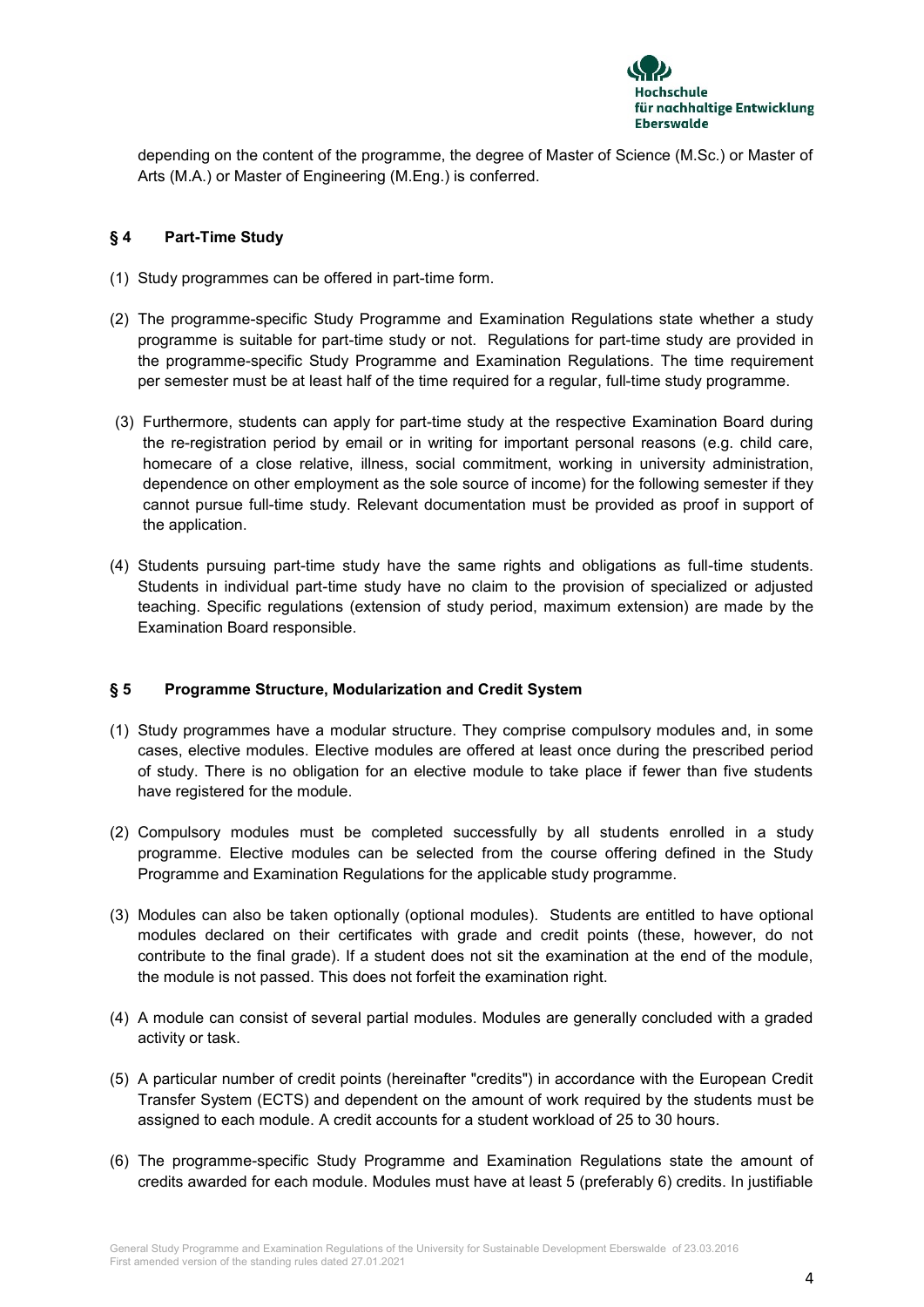

depending on the content of the programme, the degree of Master of Science (M.Sc.) or Master of Arts (M.A.) or Master of Engineering (M.Eng.) is conferred.

## **§ 4 Part-Time Study**

- (1) Study programmes can be offered in part-time form.
- (2) The programme-specific Study Programme and Examination Regulations state whether a study programme is suitable for part-time study or not. Regulations for part-time study are provided in the programme-specific Study Programme and Examination Regulations. The time requirement per semester must be at least half of the time required for a regular, full-time study programme.
- (3) Furthermore, students can apply for part-time study at the respective Examination Board during the re-registration period by email or in writing for important personal reasons (e.g. child care, homecare of a close relative, illness, social commitment, working in university administration, dependence on other employment as the sole source of income) for the following semester if they cannot pursue full-time study. Relevant documentation must be provided as proof in support of the application.
- (4) Students pursuing part-time study have the same rights and obligations as full-time students. Students in individual part-time study have no claim to the provision of specialized or adjusted teaching. Specific regulations (extension of study period, maximum extension) are made by the Examination Board responsible.

## **§ 5 Programme Structure, Modularization and Credit System**

- (1) Study programmes have a modular structure. They comprise compulsory modules and, in some cases, elective modules. Elective modules are offered at least once during the prescribed period of study. There is no obligation for an elective module to take place if fewer than five students have registered for the module.
- (2) Compulsory modules must be completed successfully by all students enrolled in a study programme. Elective modules can be selected from the course offering defined in the Study Programme and Examination Regulations for the applicable study programme.
- (3) Modules can also be taken optionally (optional modules). Students are entitled to have optional modules declared on their certificates with grade and credit points (these, however, do not contribute to the final grade). If a student does not sit the examination at the end of the module, the module is not passed. This does not forfeit the examination right.
- (4) A module can consist of several partial modules. Modules are generally concluded with a graded activity or task.
- (5) A particular number of credit points (hereinafter "credits") in accordance with the European Credit Transfer System (ECTS) and dependent on the amount of work required by the students must be assigned to each module. A credit accounts for a student workload of 25 to 30 hours.
- (6) The programme-specific Study Programme and Examination Regulations state the amount of credits awarded for each module. Modules must have at least 5 (preferably 6) credits. In justifiable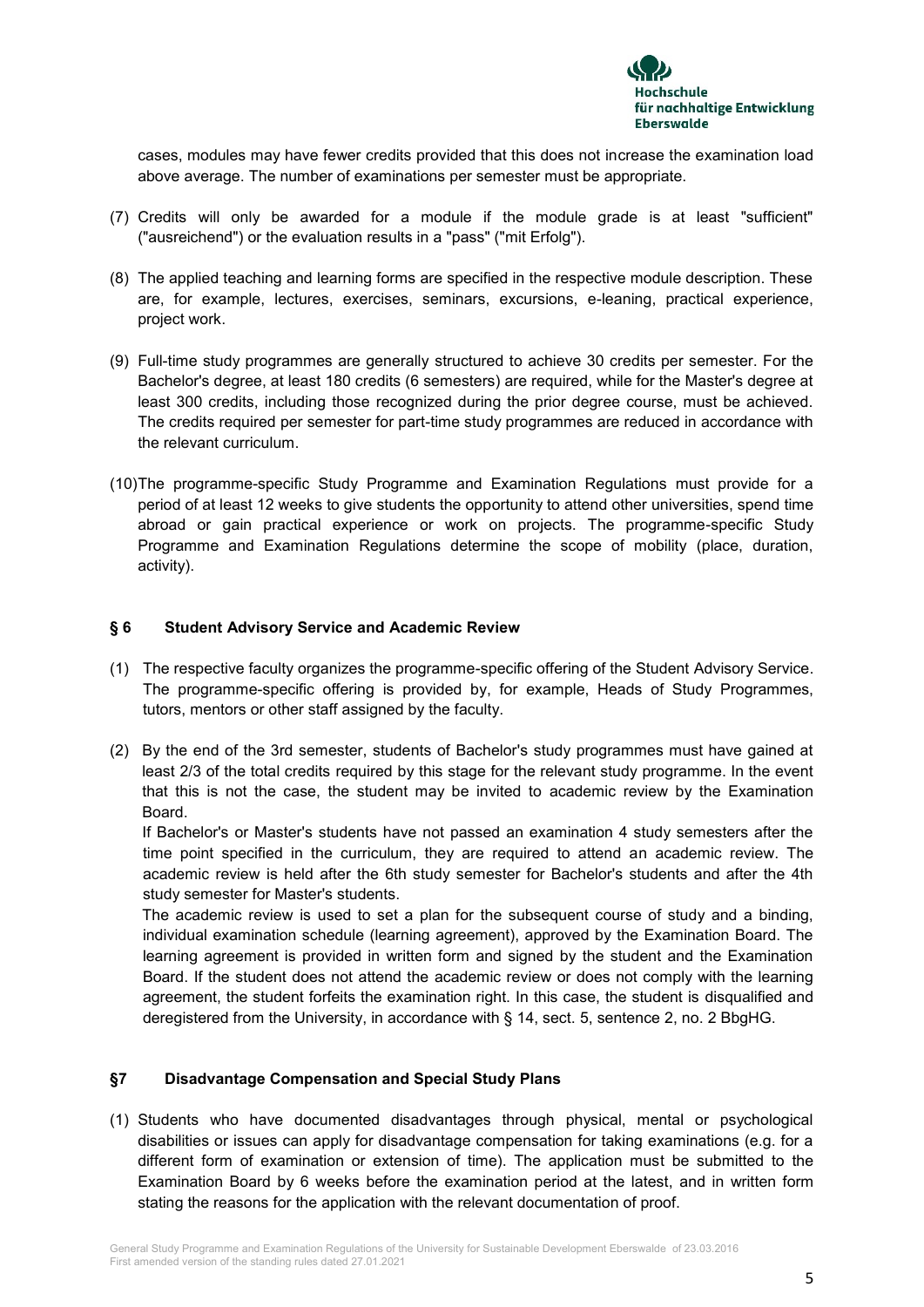

cases, modules may have fewer credits provided that this does not increase the examination load above average. The number of examinations per semester must be appropriate.

- (7) Credits will only be awarded for a module if the module grade is at least "sufficient" ("ausreichend") or the evaluation results in a "pass" ("mit Erfolg").
- (8) The applied teaching and learning forms are specified in the respective module description. These are, for example, lectures, exercises, seminars, excursions, e-leaning, practical experience, project work.
- (9) Full-time study programmes are generally structured to achieve 30 credits per semester. For the Bachelor's degree, at least 180 credits (6 semesters) are required, while for the Master's degree at least 300 credits, including those recognized during the prior degree course, must be achieved. The credits required per semester for part-time study programmes are reduced in accordance with the relevant curriculum.
- (10)The programme-specific Study Programme and Examination Regulations must provide for a period of at least 12 weeks to give students the opportunity to attend other universities, spend time abroad or gain practical experience or work on projects. The programme-specific Study Programme and Examination Regulations determine the scope of mobility (place, duration, activity).

## **§ 6 Student Advisory Service and Academic Review**

- (1) The respective faculty organizes the programme-specific offering of the Student Advisory Service. The programme-specific offering is provided by, for example, Heads of Study Programmes, tutors, mentors or other staff assigned by the faculty.
- (2) By the end of the 3rd semester, students of Bachelor's study programmes must have gained at least 2/3 of the total credits required by this stage for the relevant study programme. In the event that this is not the case, the student may be invited to academic review by the Examination Board.

If Bachelor's or Master's students have not passed an examination 4 study semesters after the time point specified in the curriculum, they are required to attend an academic review. The academic review is held after the 6th study semester for Bachelor's students and after the 4th study semester for Master's students.

The academic review is used to set a plan for the subsequent course of study and a binding, individual examination schedule (learning agreement), approved by the Examination Board. The learning agreement is provided in written form and signed by the student and the Examination Board. If the student does not attend the academic review or does not comply with the learning agreement, the student forfeits the examination right. In this case, the student is disqualified and deregistered from the University, in accordance with § 14, sect. 5, sentence 2, no. 2 BbgHG.

## **§7 Disadvantage Compensation and Special Study Plans**

(1) Students who have documented disadvantages through physical, mental or psychological disabilities or issues can apply for disadvantage compensation for taking examinations (e.g. for a different form of examination or extension of time). The application must be submitted to the Examination Board by 6 weeks before the examination period at the latest, and in written form stating the reasons for the application with the relevant documentation of proof.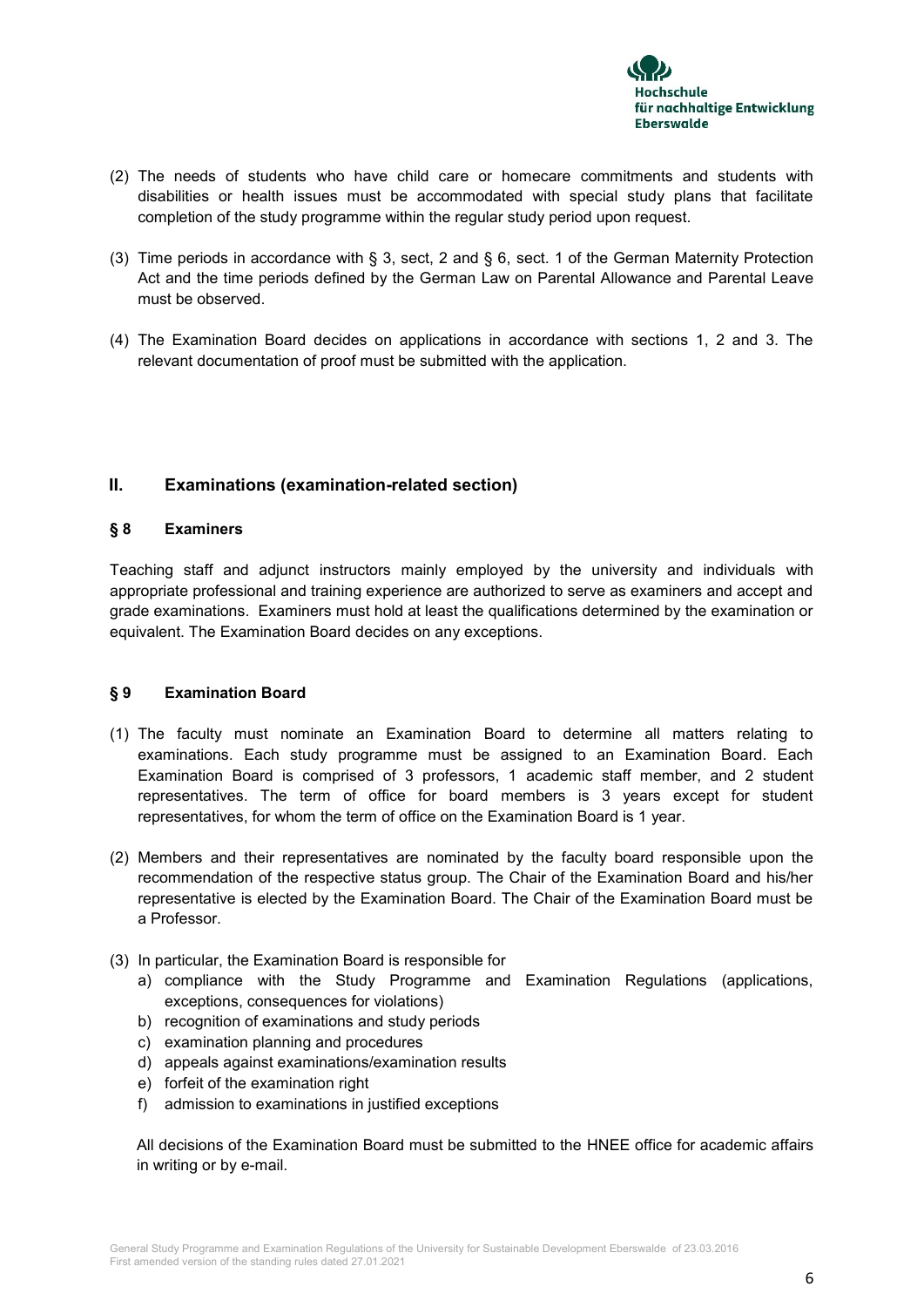

- (2) The needs of students who have child care or homecare commitments and students with disabilities or health issues must be accommodated with special study plans that facilitate completion of the study programme within the regular study period upon request.
- (3) Time periods in accordance with § 3, sect, 2 and § 6, sect. 1 of the German Maternity Protection Act and the time periods defined by the German Law on Parental Allowance and Parental Leave must be observed.
- (4) The Examination Board decides on applications in accordance with sections 1, 2 and 3. The relevant documentation of proof must be submitted with the application.

# **II. Examinations (examination-related section)**

## **§ 8 Examiners**

Teaching staff and adjunct instructors mainly employed by the university and individuals with appropriate professional and training experience are authorized to serve as examiners and accept and grade examinations. Examiners must hold at least the qualifications determined by the examination or equivalent. The Examination Board decides on any exceptions.

## **§ 9 Examination Board**

- (1) The faculty must nominate an Examination Board to determine all matters relating to examinations. Each study programme must be assigned to an Examination Board. Each Examination Board is comprised of 3 professors, 1 academic staff member, and 2 student representatives. The term of office for board members is 3 years except for student representatives, for whom the term of office on the Examination Board is 1 year.
- (2) Members and their representatives are nominated by the faculty board responsible upon the recommendation of the respective status group. The Chair of the Examination Board and his/her representative is elected by the Examination Board. The Chair of the Examination Board must be a Professor.
- (3) In particular, the Examination Board is responsible for
	- a) compliance with the Study Programme and Examination Regulations (applications, exceptions, consequences for violations)
	- b) recognition of examinations and study periods
	- c) examination planning and procedures
	- d) appeals against examinations/examination results
	- e) forfeit of the examination right
	- f) admission to examinations in justified exceptions

All decisions of the Examination Board must be submitted to the HNEE office for academic affairs in writing or by e-mail.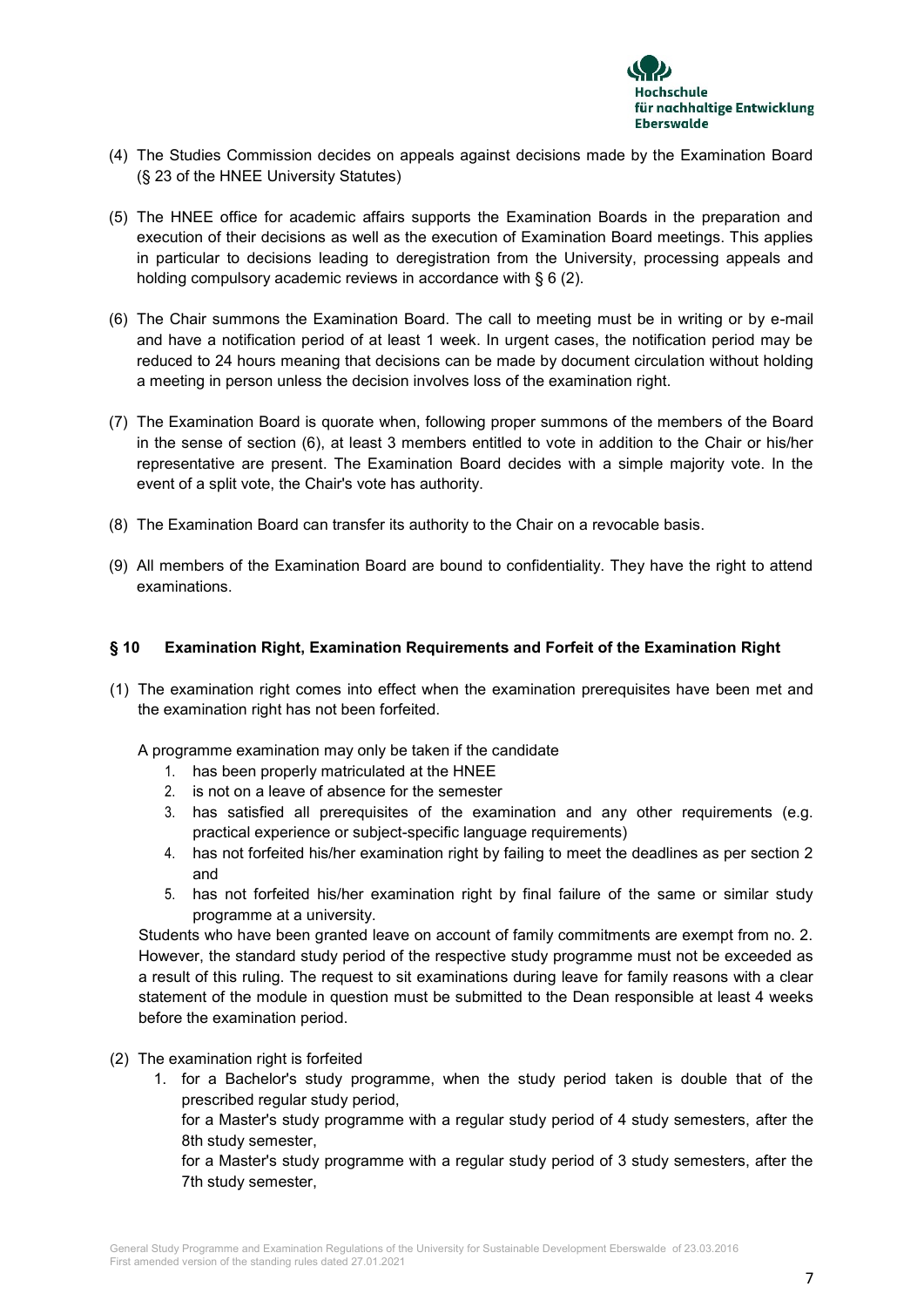

- (4) The Studies Commission decides on appeals against decisions made by the Examination Board (§ 23 of the HNEE University Statutes)
- (5) The HNEE office for academic affairs supports the Examination Boards in the preparation and execution of their decisions as well as the execution of Examination Board meetings. This applies in particular to decisions leading to deregistration from the University, processing appeals and holding compulsory academic reviews in accordance with § 6 (2).
- (6) The Chair summons the Examination Board. The call to meeting must be in writing or by e-mail and have a notification period of at least 1 week. In urgent cases, the notification period may be reduced to 24 hours meaning that decisions can be made by document circulation without holding a meeting in person unless the decision involves loss of the examination right.
- (7) The Examination Board is quorate when, following proper summons of the members of the Board in the sense of section (6), at least 3 members entitled to vote in addition to the Chair or his/her representative are present. The Examination Board decides with a simple majority vote. In the event of a split vote, the Chair's vote has authority.
- (8) The Examination Board can transfer its authority to the Chair on a revocable basis.
- (9) All members of the Examination Board are bound to confidentiality. They have the right to attend examinations.

## **§ 10 Examination Right, Examination Requirements and Forfeit of the Examination Right**

(1) The examination right comes into effect when the examination prerequisites have been met and the examination right has not been forfeited.

A programme examination may only be taken if the candidate

- 1. has been properly matriculated at the HNEE
- 2. is not on a leave of absence for the semester
- 3. has satisfied all prerequisites of the examination and any other requirements (e.g. practical experience or subject-specific language requirements)
- 4. has not forfeited his/her examination right by failing to meet the deadlines as per section 2 and
- 5. has not forfeited his/her examination right by final failure of the same or similar study programme at a university.

Students who have been granted leave on account of family commitments are exempt from no. 2. However, the standard study period of the respective study programme must not be exceeded as a result of this ruling. The request to sit examinations during leave for family reasons with a clear statement of the module in question must be submitted to the Dean responsible at least 4 weeks before the examination period.

- (2) The examination right is forfeited
	- 1. for a Bachelor's study programme, when the study period taken is double that of the prescribed regular study period,

for a Master's study programme with a regular study period of 4 study semesters, after the 8th study semester,

for a Master's study programme with a regular study period of 3 study semesters, after the 7th study semester,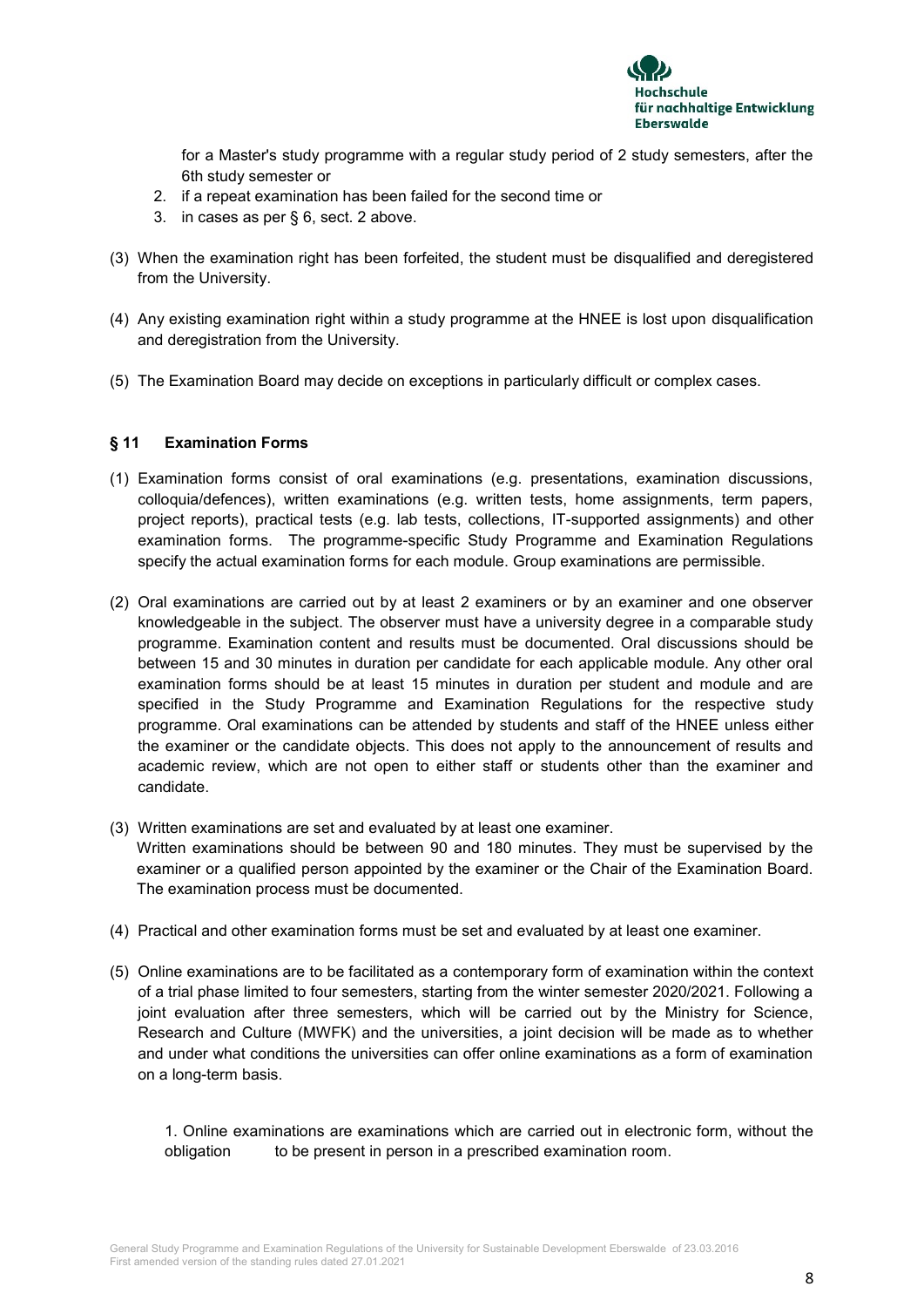

for a Master's study programme with a regular study period of 2 study semesters, after the 6th study semester or

- 2. if a repeat examination has been failed for the second time or
- 3. in cases as per § 6, sect. 2 above.
- (3) When the examination right has been forfeited, the student must be disqualified and deregistered from the University.
- (4) Any existing examination right within a study programme at the HNEE is lost upon disqualification and deregistration from the University.
- (5) The Examination Board may decide on exceptions in particularly difficult or complex cases.

## **§ 11 Examination Forms**

- (1) Examination forms consist of oral examinations (e.g. presentations, examination discussions, colloquia/defences), written examinations (e.g. written tests, home assignments, term papers, project reports), practical tests (e.g. lab tests, collections, IT-supported assignments) and other examination forms. The programme-specific Study Programme and Examination Regulations specify the actual examination forms for each module. Group examinations are permissible.
- (2) Oral examinations are carried out by at least 2 examiners or by an examiner and one observer knowledgeable in the subject. The observer must have a university degree in a comparable study programme. Examination content and results must be documented. Oral discussions should be between 15 and 30 minutes in duration per candidate for each applicable module. Any other oral examination forms should be at least 15 minutes in duration per student and module and are specified in the Study Programme and Examination Regulations for the respective study programme. Oral examinations can be attended by students and staff of the HNEE unless either the examiner or the candidate objects. This does not apply to the announcement of results and academic review, which are not open to either staff or students other than the examiner and candidate.
- (3) Written examinations are set and evaluated by at least one examiner. Written examinations should be between 90 and 180 minutes. They must be supervised by the examiner or a qualified person appointed by the examiner or the Chair of the Examination Board. The examination process must be documented.
- (4) Practical and other examination forms must be set and evaluated by at least one examiner.
- (5) Online examinations are to be facilitated as a contemporary form of examination within the context of a trial phase limited to four semesters, starting from the winter semester 2020/2021. Following a joint evaluation after three semesters, which will be carried out by the Ministry for Science, Research and Culture (MWFK) and the universities, a joint decision will be made as to whether and under what conditions the universities can offer online examinations as a form of examination on a long-term basis.

1. Online examinations are examinations which are carried out in electronic form, without the obligation to be present in person in a prescribed examination room.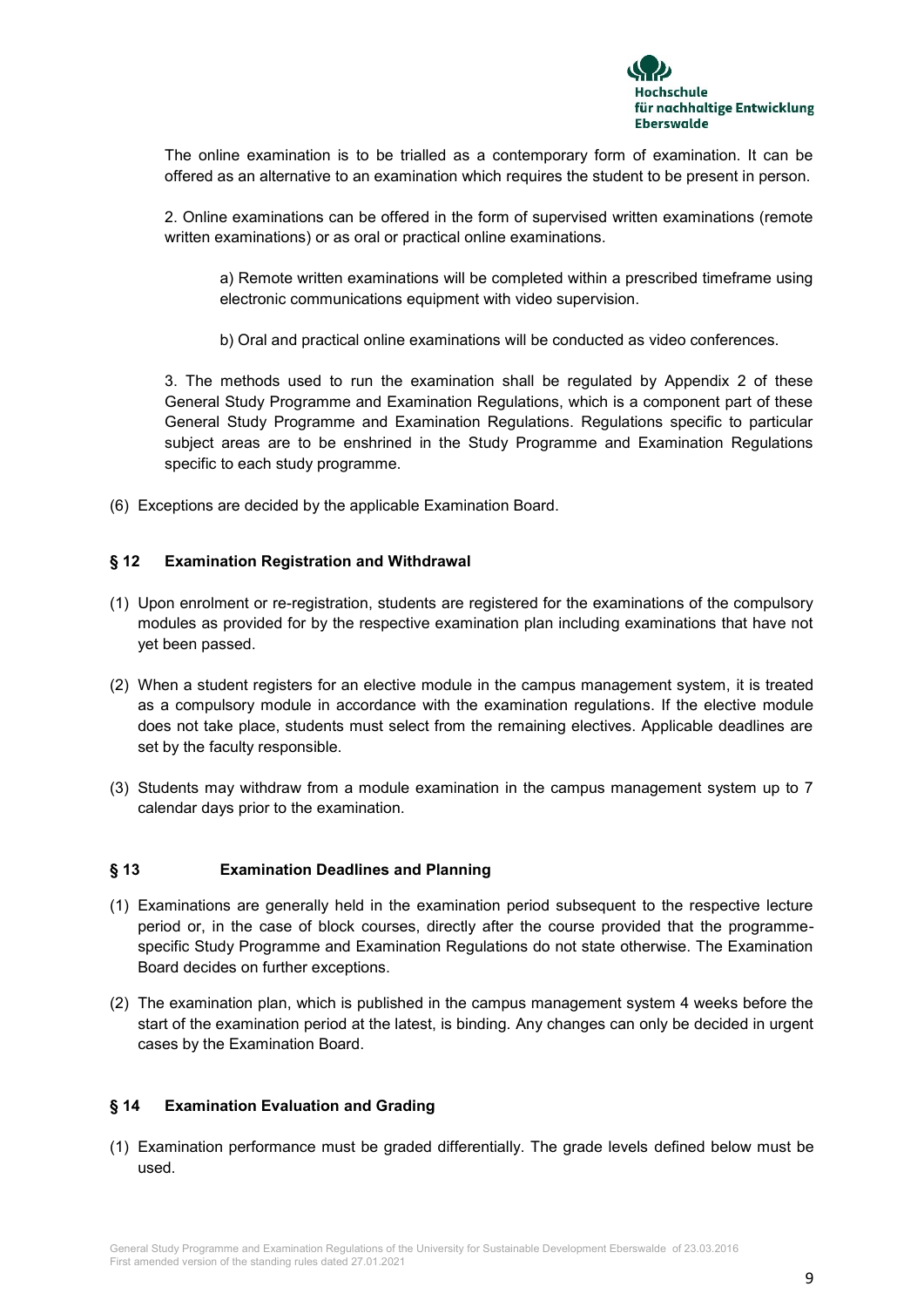

The online examination is to be trialled as a contemporary form of examination. It can be offered as an alternative to an examination which requires the student to be present in person.

2. Online examinations can be offered in the form of supervised written examinations (remote written examinations) or as oral or practical online examinations.

a) Remote written examinations will be completed within a prescribed timeframe using electronic communications equipment with video supervision.

b) Oral and practical online examinations will be conducted as video conferences.

3. The methods used to run the examination shall be regulated by Appendix 2 of these General Study Programme and Examination Regulations, which is a component part of these General Study Programme and Examination Regulations. Regulations specific to particular subject areas are to be enshrined in the Study Programme and Examination Regulations specific to each study programme.

(6) Exceptions are decided by the applicable Examination Board.

## **§ 12 Examination Registration and Withdrawal**

- (1) Upon enrolment or re-registration, students are registered for the examinations of the compulsory modules as provided for by the respective examination plan including examinations that have not yet been passed.
- (2) When a student registers for an elective module in the campus management system, it is treated as a compulsory module in accordance with the examination regulations. If the elective module does not take place, students must select from the remaining electives. Applicable deadlines are set by the faculty responsible.
- (3) Students may withdraw from a module examination in the campus management system up to 7 calendar days prior to the examination.

#### **§ 13 Examination Deadlines and Planning**

- (1) Examinations are generally held in the examination period subsequent to the respective lecture period or, in the case of block courses, directly after the course provided that the programmespecific Study Programme and Examination Regulations do not state otherwise. The Examination Board decides on further exceptions.
- (2) The examination plan, which is published in the campus management system 4 weeks before the start of the examination period at the latest, is binding. Any changes can only be decided in urgent cases by the Examination Board.

#### **§ 14 Examination Evaluation and Grading**

(1) Examination performance must be graded differentially. The grade levels defined below must be used.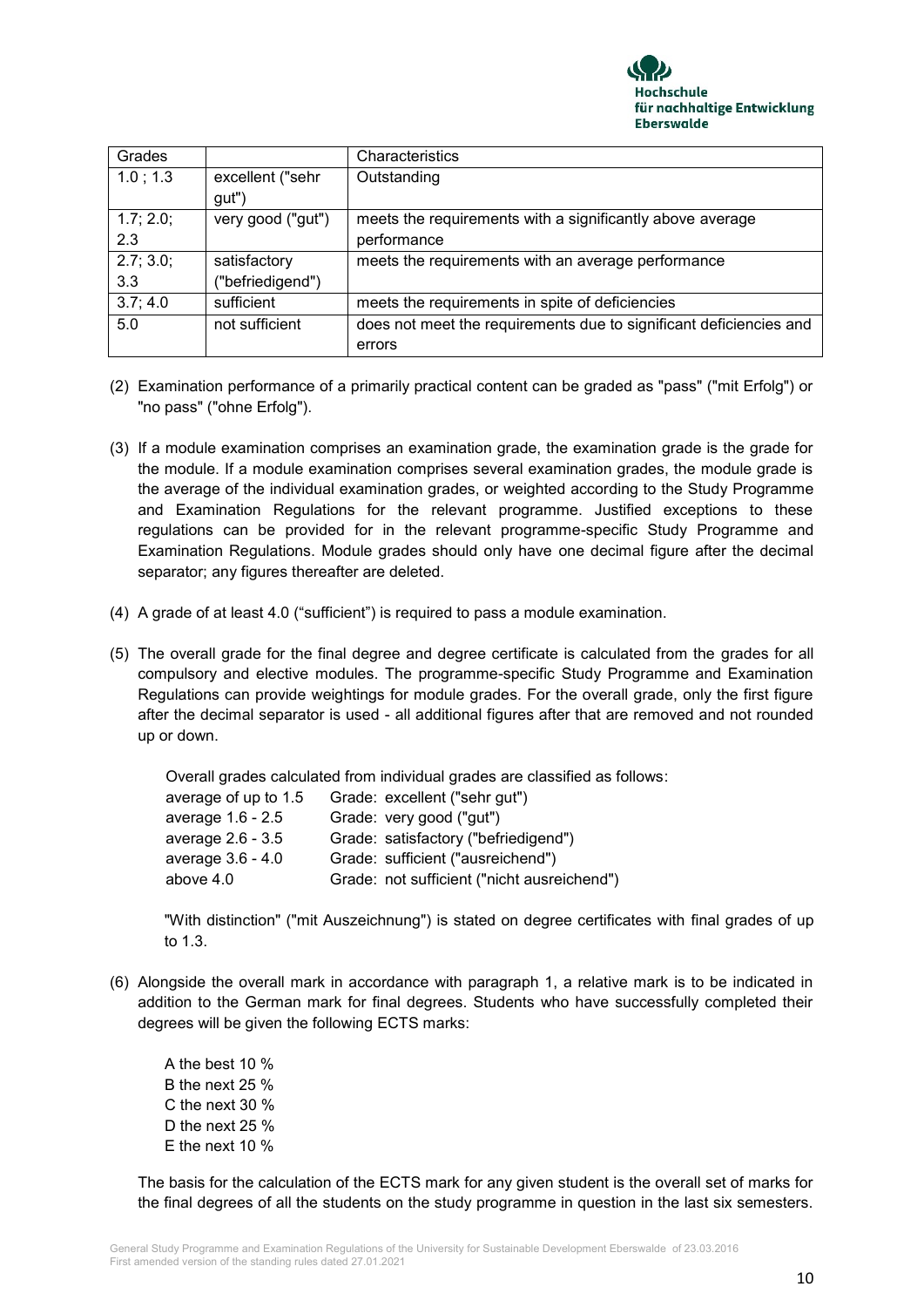

| Grades    |                   | Characteristics                                                    |
|-----------|-------------------|--------------------------------------------------------------------|
| 1.0:1.3   | excellent ("sehr  | Outstanding                                                        |
|           | gut")             |                                                                    |
| 1.7; 2.0; | very good ("gut") | meets the requirements with a significantly above average          |
| 2.3       |                   | performance                                                        |
| 2.7; 3.0; | satisfactory      | meets the requirements with an average performance                 |
| 3.3       | ("befriedigend")  |                                                                    |
| 3.7; 4.0  | sufficient        | meets the requirements in spite of deficiencies                    |
| 5.0       | not sufficient    | does not meet the requirements due to significant deficiencies and |
|           |                   | errors                                                             |

- (2) Examination performance of a primarily practical content can be graded as "pass" ("mit Erfolg") or "no pass" ("ohne Erfolg").
- (3) If a module examination comprises an examination grade, the examination grade is the grade for the module. If a module examination comprises several examination grades, the module grade is the average of the individual examination grades, or weighted according to the Study Programme and Examination Regulations for the relevant programme. Justified exceptions to these regulations can be provided for in the relevant programme-specific Study Programme and Examination Regulations. Module grades should only have one decimal figure after the decimal separator; any figures thereafter are deleted.
- (4) A grade of at least 4.0 ("sufficient") is required to pass a module examination.
- (5) The overall grade for the final degree and degree certificate is calculated from the grades for all compulsory and elective modules. The programme-specific Study Programme and Examination Regulations can provide weightings for module grades. For the overall grade, only the first figure after the decimal separator is used - all additional figures after that are removed and not rounded up or down.

Overall grades calculated from individual grades are classified as follows:

| Grade: excellent ("sehr gut")               |
|---------------------------------------------|
| Grade: very good ("gut")                    |
| Grade: satisfactory ("befriedigend")        |
| Grade: sufficient ("ausreichend")           |
| Grade: not sufficient ("nicht ausreichend") |
|                                             |

"With distinction" ("mit Auszeichnung") is stated on degree certificates with final grades of up to 1.3.

- (6) Alongside the overall mark in accordance with paragraph 1, a relative mark is to be indicated in addition to the German mark for final degrees. Students who have successfully completed their degrees will be given the following ECTS marks:
	- A the best 10 % B the next 25 % C the next 30 % D the next 25 % E the next 10 %

The basis for the calculation of the ECTS mark for any given student is the overall set of marks for the final degrees of all the students on the study programme in question in the last six semesters.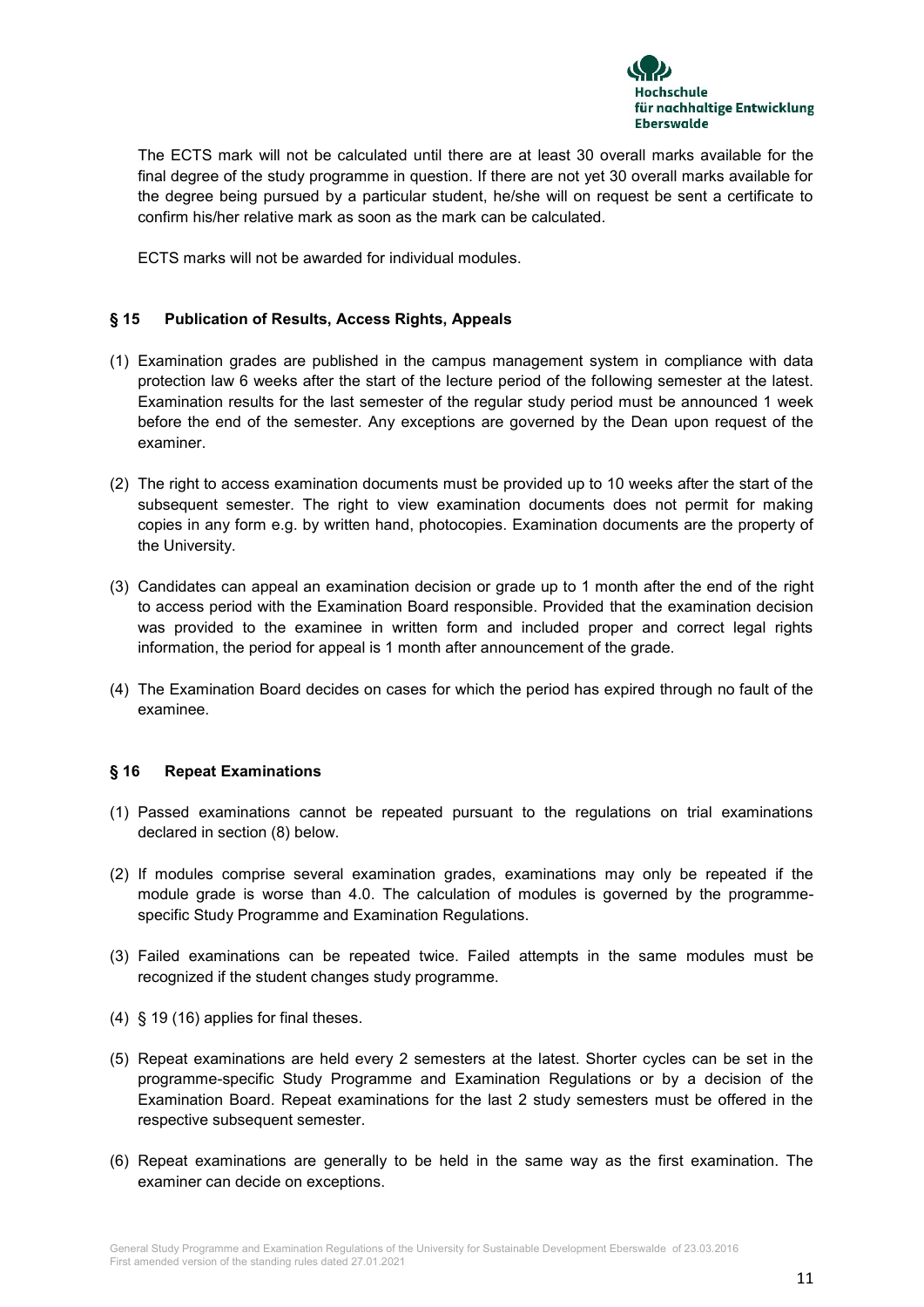

The ECTS mark will not be calculated until there are at least 30 overall marks available for the final degree of the study programme in question. If there are not yet 30 overall marks available for the degree being pursued by a particular student, he/she will on request be sent a certificate to confirm his/her relative mark as soon as the mark can be calculated.

ECTS marks will not be awarded for individual modules.

## **§ 15 Publication of Results, Access Rights, Appeals**

- (1) Examination grades are published in the campus management system in compliance with data protection law 6 weeks after the start of the lecture period of the following semester at the latest. Examination results for the last semester of the regular study period must be announced 1 week before the end of the semester. Any exceptions are governed by the Dean upon request of the examiner.
- (2) The right to access examination documents must be provided up to 10 weeks after the start of the subsequent semester. The right to view examination documents does not permit for making copies in any form e.g. by written hand, photocopies. Examination documents are the property of the University.
- (3) Candidates can appeal an examination decision or grade up to 1 month after the end of the right to access period with the Examination Board responsible. Provided that the examination decision was provided to the examinee in written form and included proper and correct legal rights information, the period for appeal is 1 month after announcement of the grade.
- (4) The Examination Board decides on cases for which the period has expired through no fault of the examinee.

#### **§ 16 Repeat Examinations**

- (1) Passed examinations cannot be repeated pursuant to the regulations on trial examinations declared in section (8) below.
- (2) If modules comprise several examination grades, examinations may only be repeated if the module grade is worse than 4.0. The calculation of modules is governed by the programmespecific Study Programme and Examination Regulations.
- (3) Failed examinations can be repeated twice. Failed attempts in the same modules must be recognized if the student changes study programme.
- (4) § 19 (16) applies for final theses.
- (5) Repeat examinations are held every 2 semesters at the latest. Shorter cycles can be set in the programme-specific Study Programme and Examination Regulations or by a decision of the Examination Board. Repeat examinations for the last 2 study semesters must be offered in the respective subsequent semester.
- (6) Repeat examinations are generally to be held in the same way as the first examination. The examiner can decide on exceptions.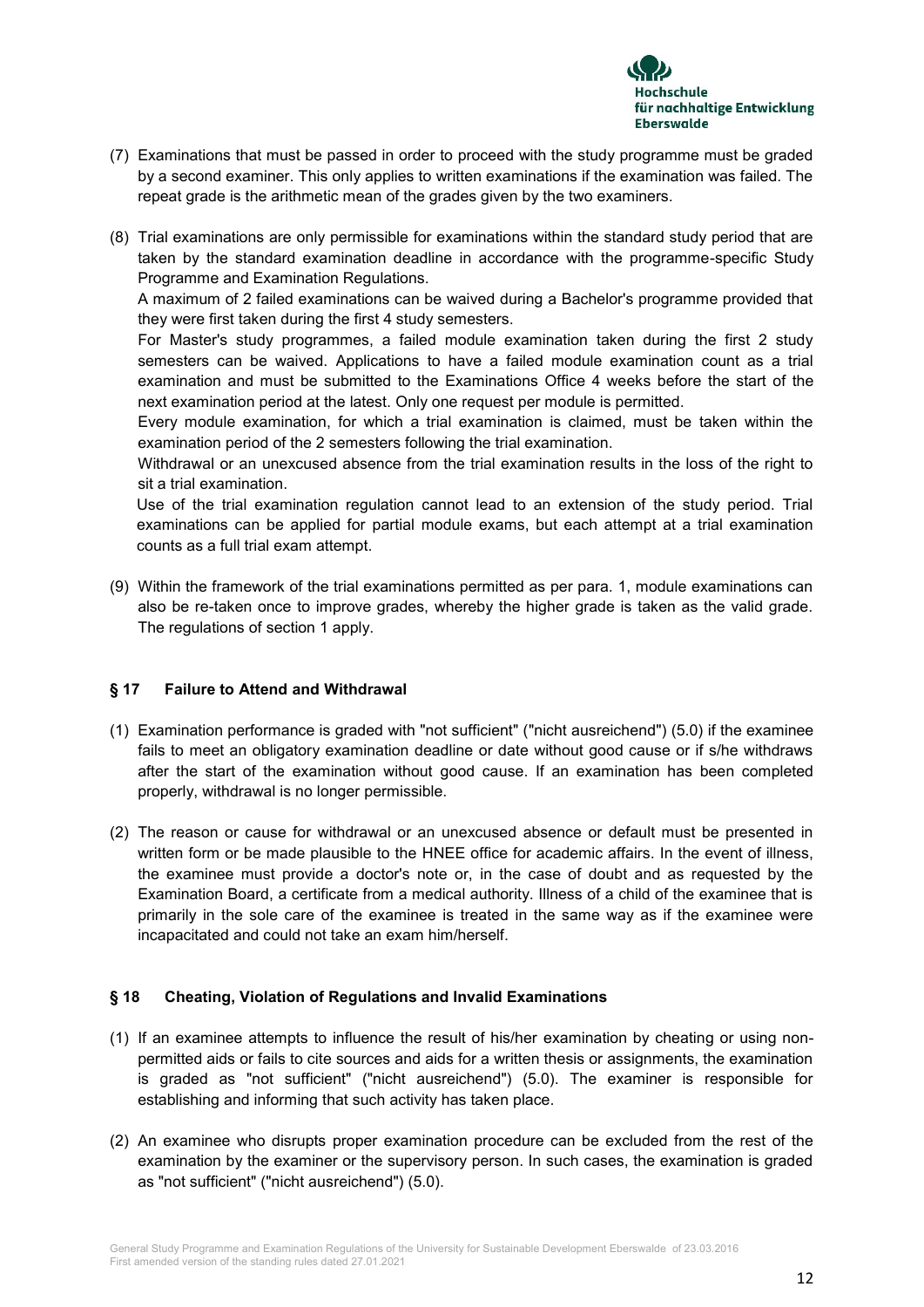

- (7) Examinations that must be passed in order to proceed with the study programme must be graded by a second examiner. This only applies to written examinations if the examination was failed. The repeat grade is the arithmetic mean of the grades given by the two examiners.
- (8) Trial examinations are only permissible for examinations within the standard study period that are taken by the standard examination deadline in accordance with the programme-specific Study Programme and Examination Regulations.

A maximum of 2 failed examinations can be waived during a Bachelor's programme provided that they were first taken during the first 4 study semesters.

For Master's study programmes, a failed module examination taken during the first 2 study semesters can be waived. Applications to have a failed module examination count as a trial examination and must be submitted to the Examinations Office 4 weeks before the start of the next examination period at the latest. Only one request per module is permitted.

Every module examination, for which a trial examination is claimed, must be taken within the examination period of the 2 semesters following the trial examination.

Withdrawal or an unexcused absence from the trial examination results in the loss of the right to sit a trial examination.

Use of the trial examination regulation cannot lead to an extension of the study period. Trial examinations can be applied for partial module exams, but each attempt at a trial examination counts as a full trial exam attempt.

(9) Within the framework of the trial examinations permitted as per para. 1, module examinations can also be re-taken once to improve grades, whereby the higher grade is taken as the valid grade. The regulations of section 1 apply.

## **§ 17 Failure to Attend and Withdrawal**

- (1) Examination performance is graded with "not sufficient" ("nicht ausreichend") (5.0) if the examinee fails to meet an obligatory examination deadline or date without good cause or if s/he withdraws after the start of the examination without good cause. If an examination has been completed properly, withdrawal is no longer permissible.
- (2) The reason or cause for withdrawal or an unexcused absence or default must be presented in written form or be made plausible to the HNEE office for academic affairs. In the event of illness, the examinee must provide a doctor's note or, in the case of doubt and as requested by the Examination Board, a certificate from a medical authority. Illness of a child of the examinee that is primarily in the sole care of the examinee is treated in the same way as if the examinee were incapacitated and could not take an exam him/herself.

## **§ 18 Cheating, Violation of Regulations and Invalid Examinations**

- (1) If an examinee attempts to influence the result of his/her examination by cheating or using nonpermitted aids or fails to cite sources and aids for a written thesis or assignments, the examination is graded as "not sufficient" ("nicht ausreichend") (5.0). The examiner is responsible for establishing and informing that such activity has taken place.
- (2) An examinee who disrupts proper examination procedure can be excluded from the rest of the examination by the examiner or the supervisory person. In such cases, the examination is graded as "not sufficient" ("nicht ausreichend") (5.0).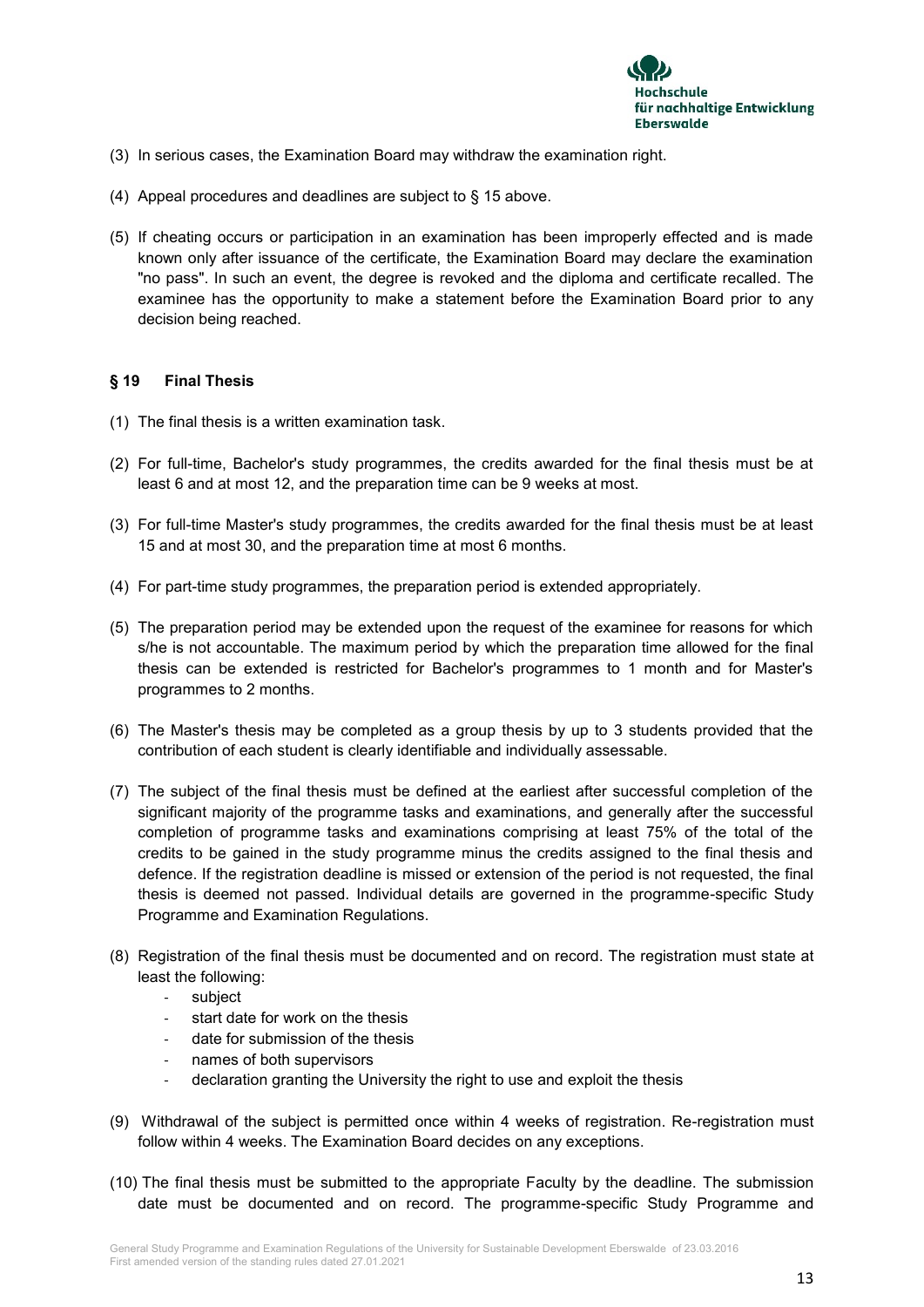

- (3) In serious cases, the Examination Board may withdraw the examination right.
- (4) Appeal procedures and deadlines are subject to § 15 above.
- (5) If cheating occurs or participation in an examination has been improperly effected and is made known only after issuance of the certificate, the Examination Board may declare the examination "no pass". In such an event, the degree is revoked and the diploma and certificate recalled. The examinee has the opportunity to make a statement before the Examination Board prior to any decision being reached.

## **§ 19 Final Thesis**

- (1) The final thesis is a written examination task.
- (2) For full-time, Bachelor's study programmes, the credits awarded for the final thesis must be at least 6 and at most 12, and the preparation time can be 9 weeks at most.
- (3) For full-time Master's study programmes, the credits awarded for the final thesis must be at least 15 and at most 30, and the preparation time at most 6 months.
- (4) For part-time study programmes, the preparation period is extended appropriately.
- (5) The preparation period may be extended upon the request of the examinee for reasons for which s/he is not accountable. The maximum period by which the preparation time allowed for the final thesis can be extended is restricted for Bachelor's programmes to 1 month and for Master's programmes to 2 months.
- (6) The Master's thesis may be completed as a group thesis by up to 3 students provided that the contribution of each student is clearly identifiable and individually assessable.
- (7) The subject of the final thesis must be defined at the earliest after successful completion of the significant majority of the programme tasks and examinations, and generally after the successful completion of programme tasks and examinations comprising at least 75% of the total of the credits to be gained in the study programme minus the credits assigned to the final thesis and defence. If the registration deadline is missed or extension of the period is not requested, the final thesis is deemed not passed. Individual details are governed in the programme-specific Study Programme and Examination Regulations.
- (8) Registration of the final thesis must be documented and on record. The registration must state at least the following:
	- subject
	- start date for work on the thesis
	- date for submission of the thesis
	- names of both supervisors
	- declaration granting the University the right to use and exploit the thesis
- (9) Withdrawal of the subject is permitted once within 4 weeks of registration. Re-registration must follow within 4 weeks. The Examination Board decides on any exceptions.
- (10) The final thesis must be submitted to the appropriate Faculty by the deadline. The submission date must be documented and on record. The programme-specific Study Programme and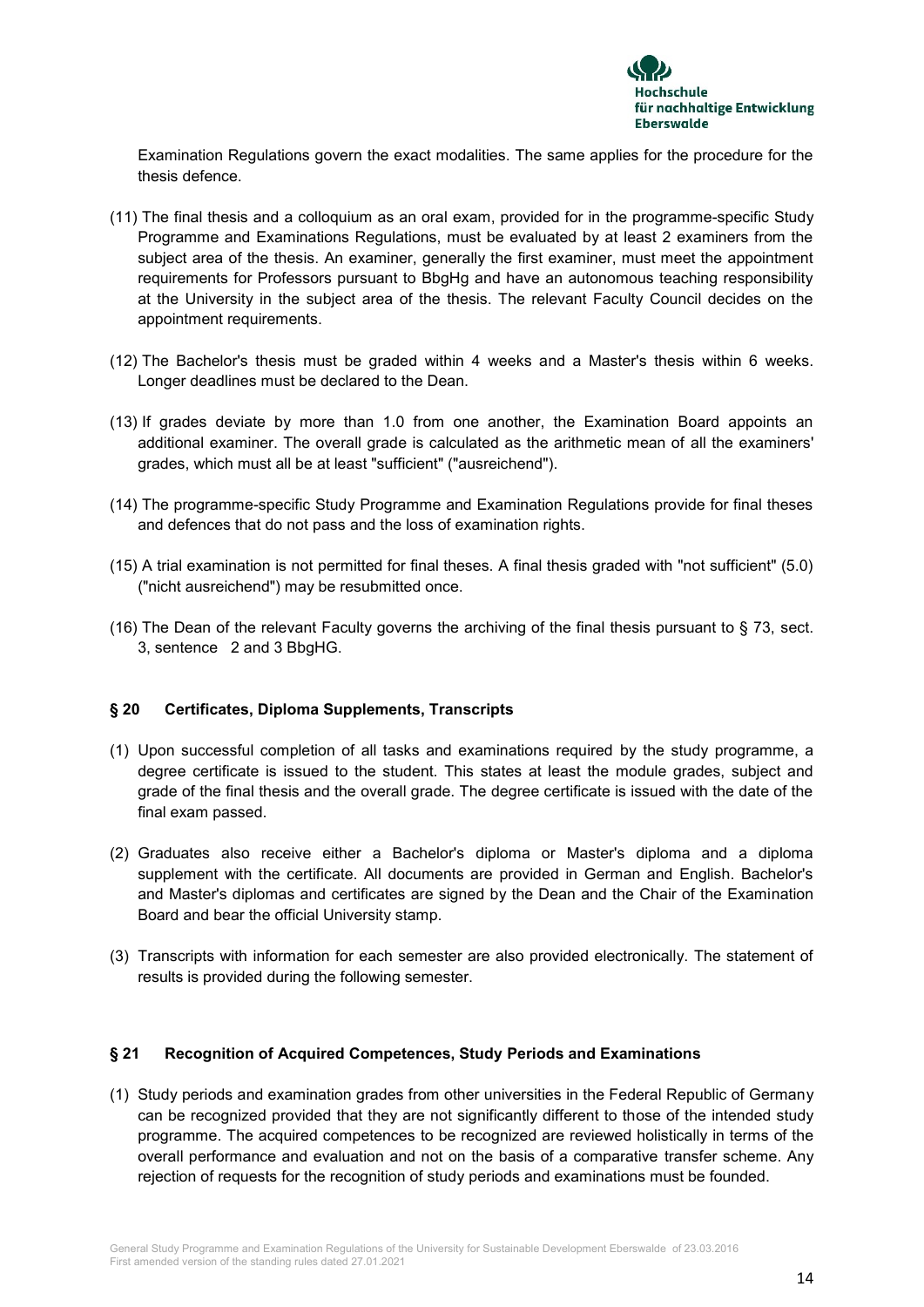

Examination Regulations govern the exact modalities. The same applies for the procedure for the thesis defence.

- (11) The final thesis and a colloquium as an oral exam, provided for in the programme-specific Study Programme and Examinations Regulations, must be evaluated by at least 2 examiners from the subject area of the thesis. An examiner, generally the first examiner, must meet the appointment requirements for Professors pursuant to BbgHg and have an autonomous teaching responsibility at the University in the subject area of the thesis. The relevant Faculty Council decides on the appointment requirements.
- (12) The Bachelor's thesis must be graded within 4 weeks and a Master's thesis within 6 weeks. Longer deadlines must be declared to the Dean.
- (13) If grades deviate by more than 1.0 from one another, the Examination Board appoints an additional examiner. The overall grade is calculated as the arithmetic mean of all the examiners' grades, which must all be at least "sufficient" ("ausreichend").
- (14) The programme-specific Study Programme and Examination Regulations provide for final theses and defences that do not pass and the loss of examination rights.
- (15) A trial examination is not permitted for final theses. A final thesis graded with "not sufficient" (5.0) ("nicht ausreichend") may be resubmitted once.
- (16) The Dean of the relevant Faculty governs the archiving of the final thesis pursuant to § 73, sect. 3, sentence 2 and 3 BbgHG.

## **§ 20 Certificates, Diploma Supplements, Transcripts**

- (1) Upon successful completion of all tasks and examinations required by the study programme, a degree certificate is issued to the student. This states at least the module grades, subject and grade of the final thesis and the overall grade. The degree certificate is issued with the date of the final exam passed.
- (2) Graduates also receive either a Bachelor's diploma or Master's diploma and a diploma supplement with the certificate. All documents are provided in German and English. Bachelor's and Master's diplomas and certificates are signed by the Dean and the Chair of the Examination Board and bear the official University stamp.
- (3) Transcripts with information for each semester are also provided electronically. The statement of results is provided during the following semester.

#### **§ 21 Recognition of Acquired Competences, Study Periods and Examinations**

(1) Study periods and examination grades from other universities in the Federal Republic of Germany can be recognized provided that they are not significantly different to those of the intended study programme. The acquired competences to be recognized are reviewed holistically in terms of the overall performance and evaluation and not on the basis of a comparative transfer scheme. Any rejection of requests for the recognition of study periods and examinations must be founded.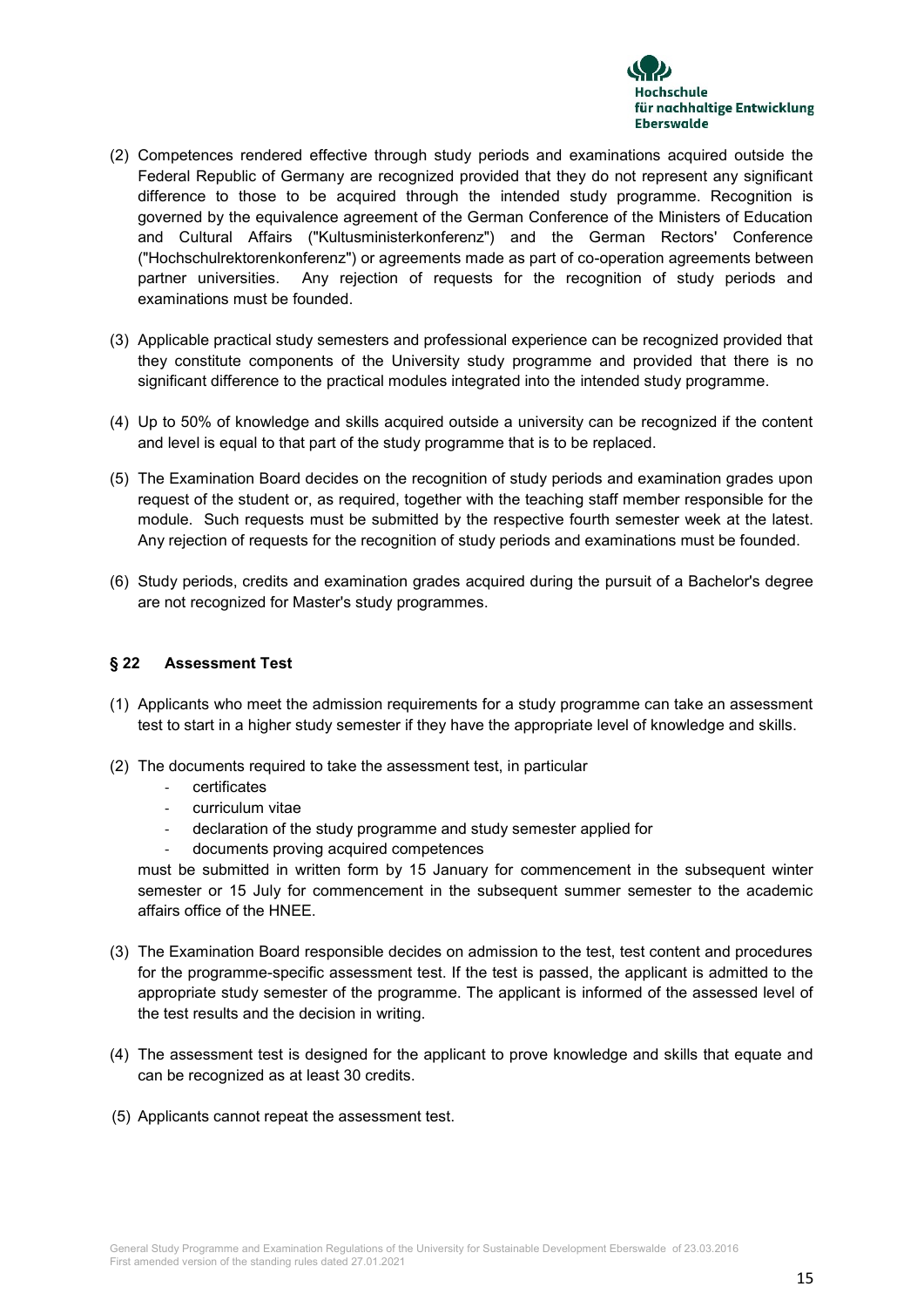

- (2) Competences rendered effective through study periods and examinations acquired outside the Federal Republic of Germany are recognized provided that they do not represent any significant difference to those to be acquired through the intended study programme. Recognition is governed by the equivalence agreement of the German Conference of the Ministers of Education and Cultural Affairs ("Kultusministerkonferenz") and the German Rectors' Conference ("Hochschulrektorenkonferenz") or agreements made as part of co-operation agreements between partner universities. Any rejection of requests for the recognition of study periods and examinations must be founded.
- (3) Applicable practical study semesters and professional experience can be recognized provided that they constitute components of the University study programme and provided that there is no significant difference to the practical modules integrated into the intended study programme.
- (4) Up to 50% of knowledge and skills acquired outside a university can be recognized if the content and level is equal to that part of the study programme that is to be replaced.
- (5) The Examination Board decides on the recognition of study periods and examination grades upon request of the student or, as required, together with the teaching staff member responsible for the module. Such requests must be submitted by the respective fourth semester week at the latest. Any rejection of requests for the recognition of study periods and examinations must be founded.
- (6) Study periods, credits and examination grades acquired during the pursuit of a Bachelor's degree are not recognized for Master's study programmes.

## **§ 22 Assessment Test**

- (1) Applicants who meet the admission requirements for a study programme can take an assessment test to start in a higher study semester if they have the appropriate level of knowledge and skills.
- (2) The documents required to take the assessment test, in particular
	- certificates
	- curriculum vitae
	- declaration of the study programme and study semester applied for
	- documents proving acquired competences

must be submitted in written form by 15 January for commencement in the subsequent winter semester or 15 July for commencement in the subsequent summer semester to the academic affairs office of the HNEE.

- (3) The Examination Board responsible decides on admission to the test, test content and procedures for the programme-specific assessment test. If the test is passed, the applicant is admitted to the appropriate study semester of the programme. The applicant is informed of the assessed level of the test results and the decision in writing.
- (4) The assessment test is designed for the applicant to prove knowledge and skills that equate and can be recognized as at least 30 credits.
- (5) Applicants cannot repeat the assessment test.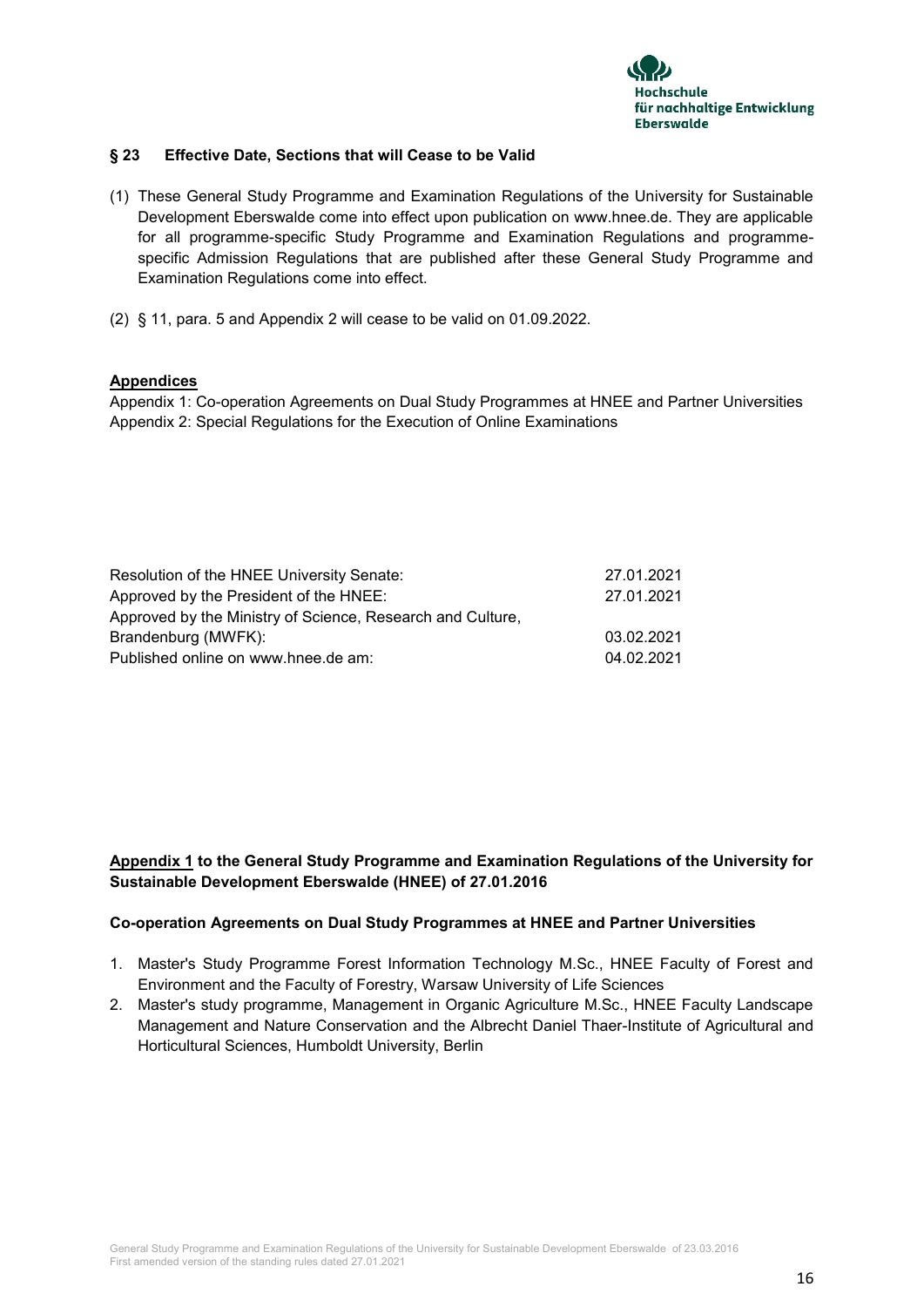

## **§ 23 Effective Date, Sections that will Cease to be Valid**

- (1) These General Study Programme and Examination Regulations of the University for Sustainable Development Eberswalde come into effect upon publication on www.hnee.de. They are applicable for all programme-specific Study Programme and Examination Regulations and programmespecific Admission Regulations that are published after these General Study Programme and Examination Regulations come into effect.
- (2) § 11, para. 5 and Appendix 2 will cease to be valid on 01.09.2022.

## **Appendices**

Appendix 1: Co-operation Agreements on Dual Study Programmes at HNEE and Partner Universities Appendix 2: Special Regulations for the Execution of Online Examinations

| Resolution of the HNEE University Senate:                  | 27.01.2021 |
|------------------------------------------------------------|------------|
| Approved by the President of the HNEE:                     | 27.01.2021 |
| Approved by the Ministry of Science, Research and Culture, |            |
| Brandenburg (MWFK):                                        | 03.02.2021 |
| Published online on www.hnee.de am:                        | 04.02.2021 |

## **Appendix 1 to the General Study Programme and Examination Regulations of the University for Sustainable Development Eberswalde (HNEE) of 27.01.2016**

#### **Co-operation Agreements on Dual Study Programmes at HNEE and Partner Universities**

- 1. Master's Study Programme Forest Information Technology M.Sc., HNEE Faculty of Forest and Environment and the Faculty of Forestry, Warsaw University of Life Sciences
- 2. Master's study programme, Management in Organic Agriculture M.Sc., HNEE Faculty Landscape Management and Nature Conservation and the Albrecht Daniel Thaer-Institute of Agricultural and Horticultural Sciences, Humboldt University, Berlin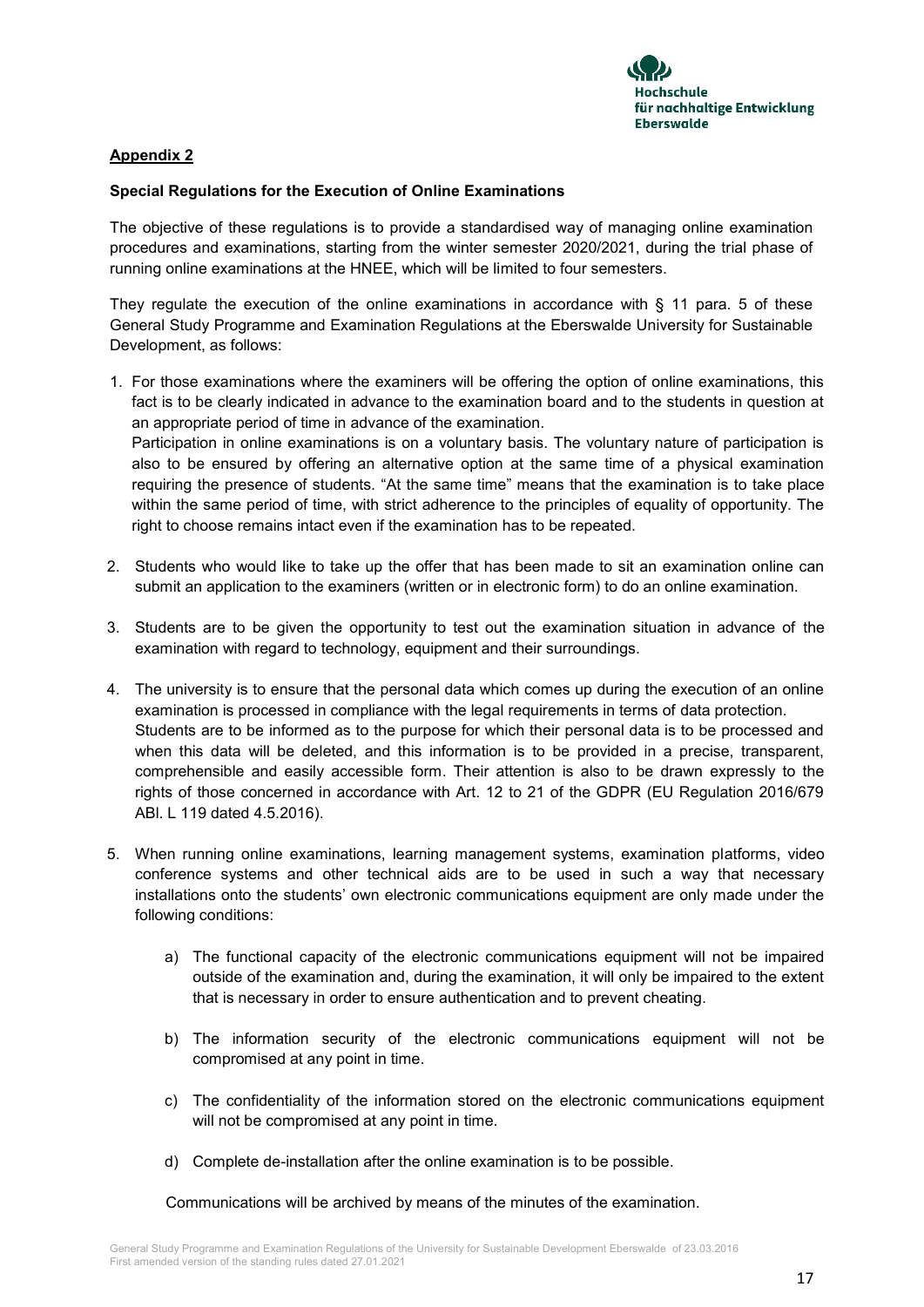

# **Appendix 2**

## **Special Regulations for the Execution of Online Examinations**

The objective of these regulations is to provide a standardised way of managing online examination procedures and examinations, starting from the winter semester 2020/2021, during the trial phase of running online examinations at the HNEE, which will be limited to four semesters.

They regulate the execution of the online examinations in accordance with  $\S$  11 para. 5 of these General Study Programme and Examination Regulations at the Eberswalde University for Sustainable Development, as follows:

1. For those examinations where the examiners will be offering the option of online examinations, this fact is to be clearly indicated in advance to the examination board and to the students in question at an appropriate period of time in advance of the examination. Participation in online examinations is on a voluntary basis. The voluntary nature of participation is also to be ensured by offering an alternative option at the same time of a physical examination

requiring the presence of students. "At the same time" means that the examination is to take place within the same period of time, with strict adherence to the principles of equality of opportunity. The right to choose remains intact even if the examination has to be repeated.

- 2. Students who would like to take up the offer that has been made to sit an examination online can submit an application to the examiners (written or in electronic form) to do an online examination.
- 3. Students are to be given the opportunity to test out the examination situation in advance of the examination with regard to technology, equipment and their surroundings.
- 4. The university is to ensure that the personal data which comes up during the execution of an online examination is processed in compliance with the legal requirements in terms of data protection. Students are to be informed as to the purpose for which their personal data is to be processed and when this data will be deleted, and this information is to be provided in a precise, transparent, comprehensible and easily accessible form. Their attention is also to be drawn expressly to the rights of those concerned in accordance with Art. 12 to 21 of the GDPR (EU Regulation 2016/679 ABl. L 119 dated 4.5.2016).
- 5. When running online examinations, learning management systems, examination platforms, video conference systems and other technical aids are to be used in such a way that necessary installations onto the students' own electronic communications equipment are only made under the following conditions:
	- a) The functional capacity of the electronic communications equipment will not be impaired outside of the examination and, during the examination, it will only be impaired to the extent that is necessary in order to ensure authentication and to prevent cheating.
	- b) The information security of the electronic communications equipment will not be compromised at any point in time.
	- c) The confidentiality of the information stored on the electronic communications equipment will not be compromised at any point in time.
	- d) Complete de-installation after the online examination is to be possible.

Communications will be archived by means of the minutes of the examination.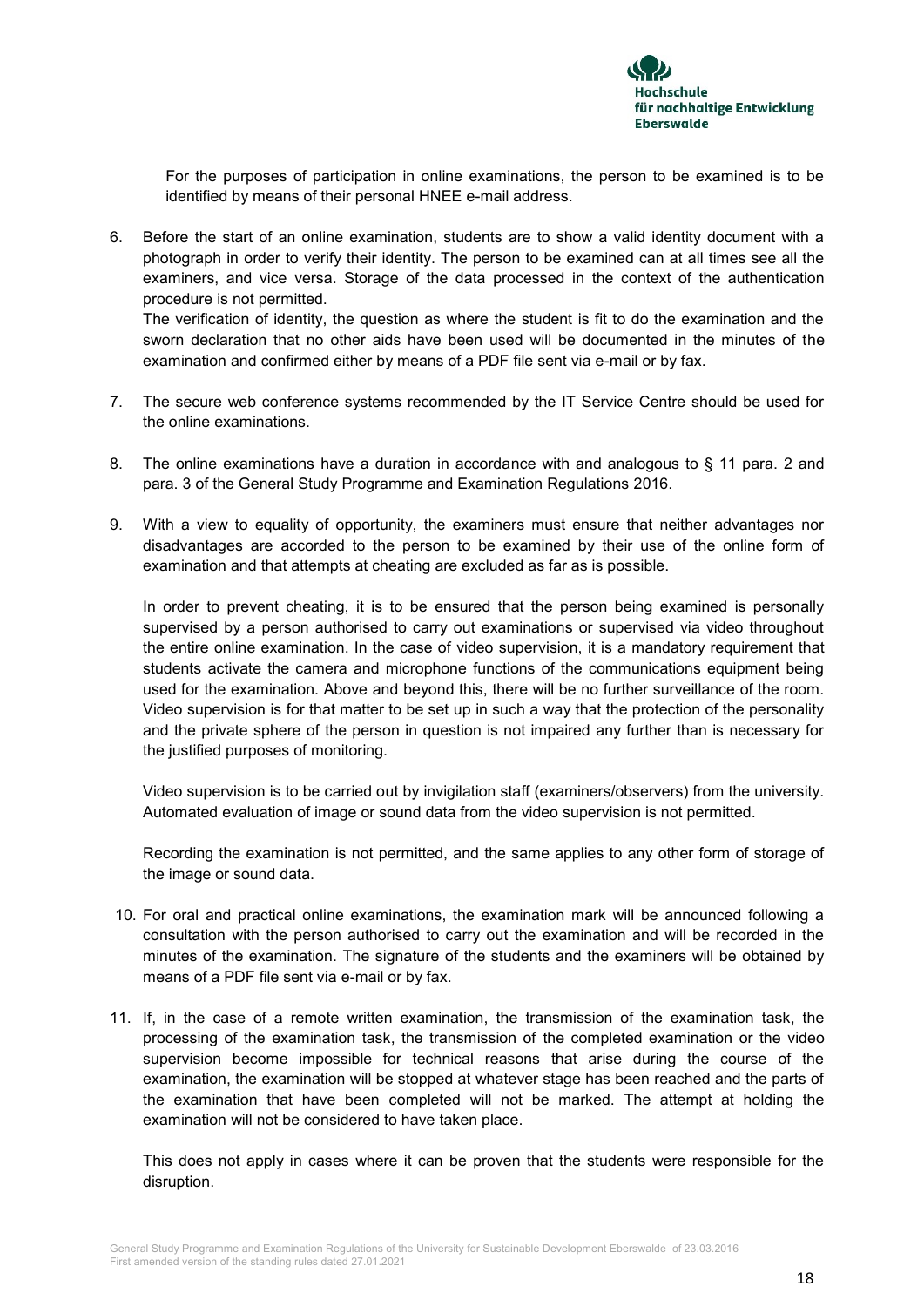

For the purposes of participation in online examinations, the person to be examined is to be identified by means of their personal HNEE e-mail address.

6. Before the start of an online examination, students are to show a valid identity document with a photograph in order to verify their identity. The person to be examined can at all times see all the examiners, and vice versa. Storage of the data processed in the context of the authentication procedure is not permitted.

The verification of identity, the question as where the student is fit to do the examination and the sworn declaration that no other aids have been used will be documented in the minutes of the examination and confirmed either by means of a PDF file sent via e-mail or by fax.

- 7. The secure web conference systems recommended by the IT Service Centre should be used for the online examinations.
- 8. The online examinations have a duration in accordance with and analogous to § 11 para. 2 and para. 3 of the General Study Programme and Examination Regulations 2016.
- 9. With a view to equality of opportunity, the examiners must ensure that neither advantages nor disadvantages are accorded to the person to be examined by their use of the online form of examination and that attempts at cheating are excluded as far as is possible.

In order to prevent cheating, it is to be ensured that the person being examined is personally supervised by a person authorised to carry out examinations or supervised via video throughout the entire online examination. In the case of video supervision, it is a mandatory requirement that students activate the camera and microphone functions of the communications equipment being used for the examination. Above and beyond this, there will be no further surveillance of the room. Video supervision is for that matter to be set up in such a way that the protection of the personality and the private sphere of the person in question is not impaired any further than is necessary for the justified purposes of monitoring.

Video supervision is to be carried out by invigilation staff (examiners/observers) from the university. Automated evaluation of image or sound data from the video supervision is not permitted.

Recording the examination is not permitted, and the same applies to any other form of storage of the image or sound data.

- 10. For oral and practical online examinations, the examination mark will be announced following a consultation with the person authorised to carry out the examination and will be recorded in the minutes of the examination. The signature of the students and the examiners will be obtained by means of a PDF file sent via e-mail or by fax.
- 11. If, in the case of a remote written examination, the transmission of the examination task, the processing of the examination task, the transmission of the completed examination or the video supervision become impossible for technical reasons that arise during the course of the examination, the examination will be stopped at whatever stage has been reached and the parts of the examination that have been completed will not be marked. The attempt at holding the examination will not be considered to have taken place.

This does not apply in cases where it can be proven that the students were responsible for the disruption.